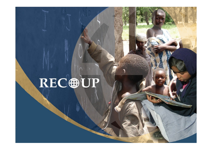# RECOUP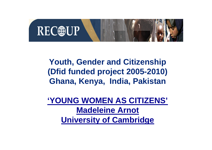

## **Youth, Gender and Citizenship (Dfid funded project 2005-2010) Ghana, Kenya, India, Pakistan**

**'YOUNG WOMEN AS CITIZENS' Madeleine Arnot University of Cambridge**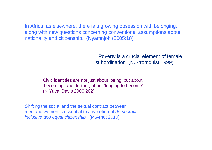In Africa, as elsewhere, there is a growing obsession with belonging, along with new questions concerning conventional assumptions about nationality and citizenship. (Nyamnjoh (2005:18)

> Poverty is a crucial element of female subordination (N.Stromquist 1999)

Civic identities are not just about 'being' but about 'becoming' and, further, about 'longing to become' (N.Yuval Davis 2006:202)

Shifting the social and the sexual contract between men and women is essential to any notion of *democratic, inclusive and equal citizenship.* (M.Arnot 2010)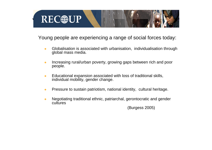

Young people are experiencing a range of social forces today:

- $\bullet$  Globalisation is associated with urbanisation, individualisation through global mass media.
- $\bullet$  Increasing rural/urban poverty, growing gaps between rich and poor people.
- $\bullet$  Educational expansion associated with loss of traditional skills, individual mobility, gender change.
- $\bullet$ Pressure to sustain patriotism, national identity, cultural heritage.
- $\bullet$  Negotiating traditional ethnic, patriarchal, gerontocratic and gender **cultures**

(Burgess 2005)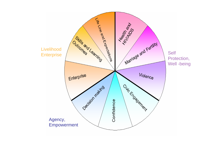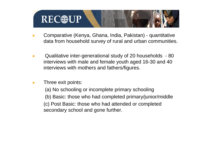

- $\bullet$  Comparative (Kenya, Ghana, India, Pakistan) - quantitative data from household survey of rural and urban communities.
- $\bullet$  Qualitative inter-generational study of 20 households - 80 interviews with male and female youth aged 16-30 and 40 interviews with mothers and fathers/figures.
- $\bullet$ Three exit points:

(a) No schooling or incomplete primary schooling (b) Basic: those who had completed primary/junior/middle (c) Post Basic: those who had attended or completed secondary school and gone further.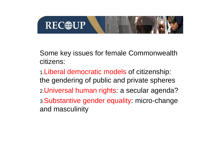

### Some key issues for female Commonwealth citizens:

1.Liberal democratic models of citizenship: the gendering of public and private spheres 2.Universal human rights: a secular agenda? 3.Substantive gender equality: micro-change and masculinity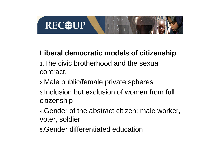

## **Liberal democratic models of citizenship**

- 1.The civic brotherhood and the sexual contract.
- 2.Male public/female private spheres
- 3.Inclusion but exclusion of women from full citizenship
- 4.Gender of the abstract citizen: male worker, voter, soldier
- 5.Gender differentiated education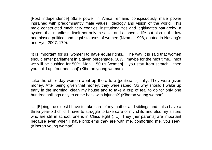[Post independence] State power in Africa remains conspicuously male power ingrained with predominantly male values, ideology and vision of the world. This male constructed machinery codifies, institutionalizes and legitimates patriarchy, a system that manifests itself not only in social and economic life but also in the law and biased political and legal statuses of women (Nzomo 1998, quoted in Nasang'o and Ayot 2007, 170).

'It is important for us [women] to have equal rights... The way it is said that women should enter parliament in a given percentage. 30% , maybe for the next time... next we will be pushing for 50%. Men… 50 us [women]… you start from scratch... then you build up. [our addition]' (Kiberan young woman)

'Like the other day women went up there to a [politician's] rally. They were given money. After being given that money, they were raped. So why should I wake up early in the morning, clean my house and to take a cup of tea, to go for only one hundred shillings only to come back with injuries?' (Kiberan young woman)

'… [B]eing the eldest I have to take care of my mother and siblings and I also have a three year-old child. I have to struggle to take care of my child and also my sisters who are still in school, one is in Class eight (….). They [her parents] are important because even when I have problems they are with me, comforting me, you see?' (Kiberan young woman)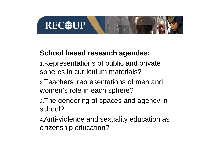

### **School based research agendas:**

- 1.Representations of public and private spheres in curriculum materials?
- 2.Teachers' representations of men and women's role in each sphere?
- 3.The gendering of spaces and agency in school?
- 4.Anti-violence and sexuality education as citizenship education?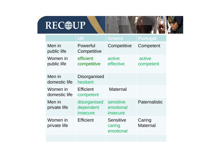## REC®UP

|                           | <b>UK</b>                             | <b>Greece</b>                             | <b>Portugal</b>           |
|---------------------------|---------------------------------------|-------------------------------------------|---------------------------|
| Men in<br>public life     | Powerful<br>Competitive               | Competitive                               | Competent                 |
| Women in<br>public life   | efficient<br>competitive              | active<br>effective                       | active<br>competent       |
| Men in<br>domestic life   | Disorganised<br>hesitant              |                                           |                           |
| Women in<br>domestic life | <b>Efficient</b><br>competent         | Maternal                                  |                           |
| Men in<br>private life    | disorganised<br>dependent<br>insecure | sensitive<br>emotional<br><i>insecure</i> | Paternalistic             |
| Women in<br>private life  | <b>Efficient</b>                      | <b>Sensitive</b><br>caring<br>emotional   | Caring<br><b>Maternal</b> |
|                           |                                       |                                           |                           |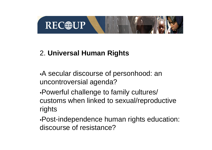

## 2. **Universal Human Rights**

•A secular discourse of personhood: an uncontroversial agenda?

•Powerful challenge to family cultures/ customs when linked to sexual/reproductive rights

•Post-independence human rights education: discourse of resistance?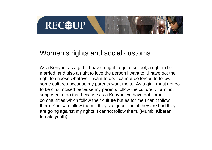

#### Women's rights and social customs

As a Kenyan, as a girl... I have a right to go to school, a right to be married, and also a right to love the person I want to...I have got the right to choose whatever I want to do. I cannot be forced to follow some cultures because my parents want me to. As a girl I must not go to be circumcised because my parents follow the culture... I am not supposed to do that because as a Kenyan we have got some communities which follow their culture but as for me I can't follow them. You can follow them if they are good...but if they are bad they are going against my rights, I cannot follow them. (Mumbi Kiberan female youth)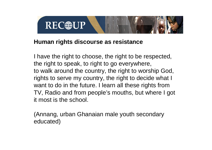

#### **Human rights discourse as resistance**

I have the right to choose, the right to be respected, the right to speak, to right to go everywhere, to walk around the country, the right to worship God, rights to serve my country, the right to decide what I want to do in the future. I learn all these rights from TV, Radio and from people's mouths, but where I got it most is the school.

(Annang, urban Ghanaian male youth secondary educated)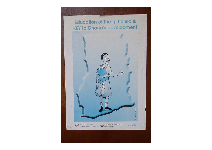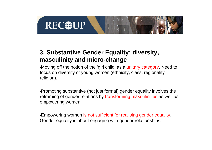

#### 3**. Substantive Gender Equality: diversity, masculinity and micro-change**

•Moving off the notion of the 'girl child' as a unitary category. Need to focus on diversity of young women (ethnicity, class, regionality religion).

•Promoting substantive (not just formal) gender equality involves the reframing of gender relations by transforming masculinities as well as empowering women.

•Empowering women is not sufficient for realising gender equality. Gender equality is about engaging with gender relationships.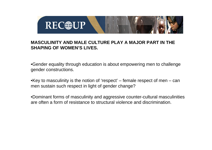

#### **MASCULINITY AND MALE CULTURE PLAY A MAJOR PART IN THE SHAPING OF WOMEN'S LIVES.**

•Gender equality through education is about empowering men to challenge gender constructions.

•Key to masculinity is the notion of 'respect' – female respect of men – can men sustain such respect in light of gender change?

•Dominant forms of masculinity and aggressive counter-cultural masculinities are often a form of resistance to structural violence and discrimination.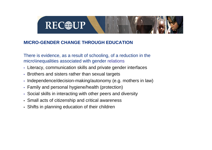## **REC**@UP

#### **MICRO-GENDER CHANGE THROUGH EDUCATION**

There is evidence, as a result of schooling, of a reduction in the micro\inequalities associated with gender relations

- Literacy, communication skills and private gender interfaces
- Brothers and sisters rather than sexual targets
- •Independence/decision-making/autonomy (e.g. mothers in law)
- Family and personal hygiene/health (protection)
- Social skills in interacting with other peers and diversity
- Small acts of citizenship and critical awareness
- Shifts in planning education of their children